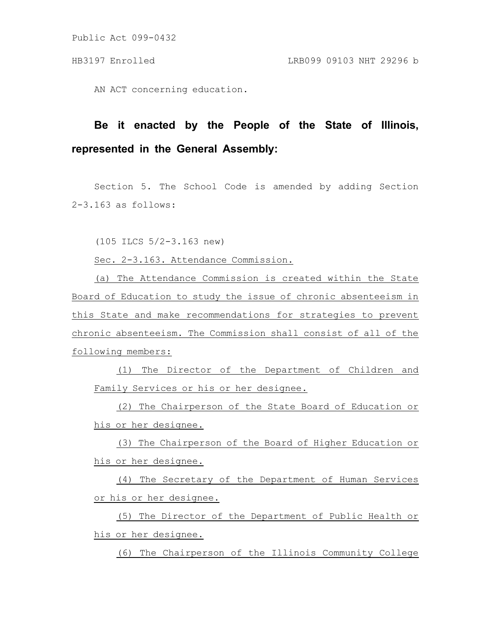Public Act 099-0432

AN ACT concerning education.

## **Be it enacted by the People of the State of Illinois, represented in the General Assembly:**

Section 5. The School Code is amended by adding Section 2-3.163 as follows:

(105 ILCS 5/2-3.163 new)

Sec. 2-3.163. Attendance Commission.

(a) The Attendance Commission is created within the State Board of Education to study the issue of chronic absenteeism in this State and make recommendations for strategies to prevent chronic absenteeism. The Commission shall consist of all of the following members:

(1) The Director of the Department of Children and Family Services or his or her designee.

(2) The Chairperson of the State Board of Education or his or her designee.

(3) The Chairperson of the Board of Higher Education or his or her designee.

(4) The Secretary of the Department of Human Services or his or her designee.

(5) The Director of the Department of Public Health or his or her designee.

(6) The Chairperson of the Illinois Community College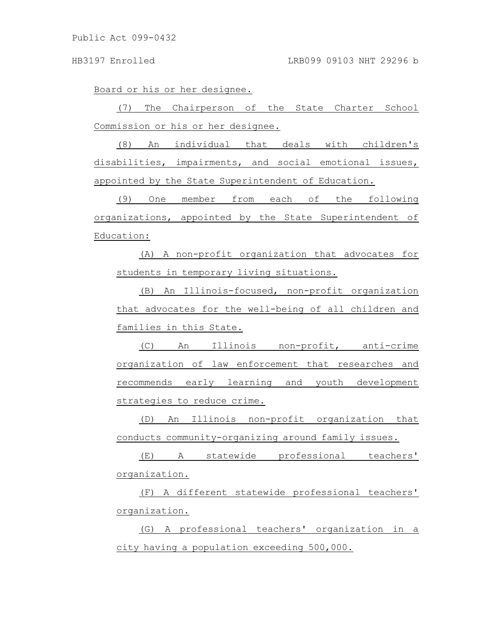Board or his or her designee.

(7) The Chairperson of the State Charter School Commission or his or her designee.

(8) An individual that deals with children's disabilities, impairments, and social emotional issues, appointed by the State Superintendent of Education.

(9) One member from each of the following organizations, appointed by the State Superintendent of Education:

(A) A non-profit organization that advocates for students in temporary living situations.

(B) An Illinois-focused, non-profit organization that advocates for the well-being of all children and families in this State.

(C) An Illinois non-profit, anti-crime organization of law enforcement that researches and recommends early learning and youth development strategies to reduce crime.

(D) An Illinois non-profit organization that conducts community-organizing around family issues.

(E) A statewide professional teachers' organization.

(F) A different statewide professional teachers' organization.

(G) A professional teachers' organization in a city having a population exceeding 500,000.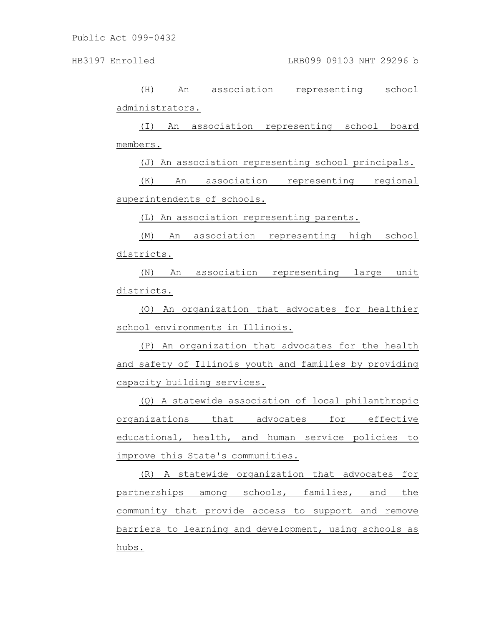(H) An association representing school administrators.

(I) An association representing school board members.

(J) An association representing school principals.

(K) An association representing regional superintendents of schools.

(L) An association representing parents.

(M) An association representing high school districts.

(N) An association representing large unit districts.

(O) An organization that advocates for healthier school environments in Illinois.

(P) An organization that advocates for the health and safety of Illinois youth and families by providing capacity building services.

(Q) A statewide association of local philanthropic organizations that advocates for effective educational, health, and human service policies to improve this State's communities.

(R) A statewide organization that advocates for partnerships among schools, families, and the community that provide access to support and remove barriers to learning and development, using schools as hubs.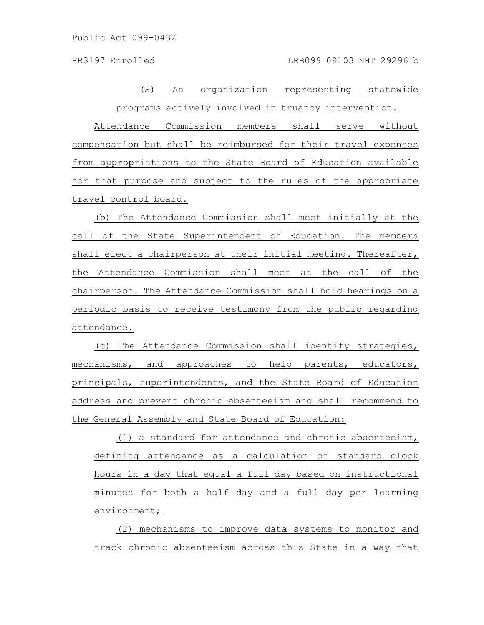(S) An organization representing statewide programs actively involved in truancy intervention.

Attendance Commission members shall serve without compensation but shall be reimbursed for their travel expenses from appropriations to the State Board of Education available for that purpose and subject to the rules of the appropriate travel control board.

(b) The Attendance Commission shall meet initially at the call of the State Superintendent of Education. The members shall elect a chairperson at their initial meeting. Thereafter, the Attendance Commission shall meet at the call of the chairperson. The Attendance Commission shall hold hearings on a periodic basis to receive testimony from the public regarding attendance.

(c) The Attendance Commission shall identify strategies, mechanisms, and approaches to help parents, educators, principals, superintendents, and the State Board of Education address and prevent chronic absenteeism and shall recommend to the General Assembly and State Board of Education:

(1) a standard for attendance and chronic absenteeism, defining attendance as a calculation of standard clock hours in a day that equal a full day based on instructional minutes for both a half day and a full day per learning environment;

(2) mechanisms to improve data systems to monitor and track chronic absenteeism across this State in a way that